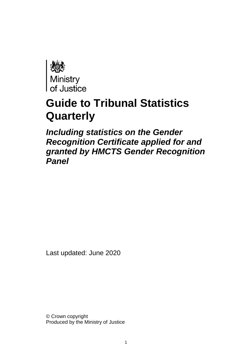

# **Guide to Tribunal Statistics Quarterly**

*Including statistics on the Gender Recognition Certificate applied for and granted by HMCTS Gender Recognition Panel*

Last updated: June 2020

© Crown copyright Produced by the Ministry of Justice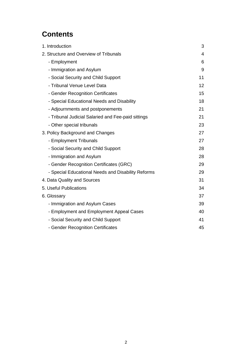## **Contents**

| 1. Introduction                                    | 3  |
|----------------------------------------------------|----|
| 2. Structure and Overview of Tribunals             | 4  |
| - Employment                                       | 6  |
| - Immigration and Asylum                           | 9  |
| - Social Security and Child Support                | 11 |
| - Tribunal Venue Level Data                        | 12 |
| - Gender Recognition Certificates                  | 15 |
| - Special Educational Needs and Disability         | 18 |
| - Adjournments and postponements                   | 21 |
| - Tribunal Judicial Salaried and Fee-paid sittings | 21 |
| - Other special tribunals                          | 23 |
| 3. Policy Background and Changes                   | 27 |
| - Employment Tribunals                             | 27 |
| - Social Security and Child Support                | 28 |
| - Immigration and Asylum                           | 28 |
| - Gender Recognition Certificates (GRC)            | 29 |
| - Special Educational Needs and Disability Reforms | 29 |
| 4. Data Quality and Sources                        | 31 |
| 5. Useful Publications                             | 34 |
| 6. Glossary                                        | 37 |
| - Immigration and Asylum Cases                     | 39 |
| - Employment and Employment Appeal Cases           | 40 |
| - Social Security and Child Support                | 41 |
| - Gender Recognition Certificates                  | 45 |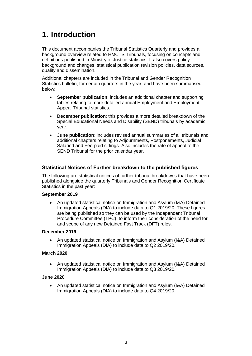## <span id="page-2-0"></span>**1. Introduction**

This document accompanies the Tribunal Statistics Quarterly and provides a background overview related to HMCTS Tribunals, focusing on concepts and definitions published in Ministry of Justice statistics. It also covers policy background and changes, statistical publication revision policies, data sources, quality and dissemination.

Additional chapters are included in the Tribunal and Gender Recognition Statistics bulletin, for certain quarters in the year, and have been summarised below:

- **September publication**: includes an additional chapter and supporting tables relating to more detailed annual Employment and Employment Appeal Tribunal statistics.
- **December publication**: this provides a more detailed breakdown of the Special Educational Needs and Disability (SEND) tribunals by academic year.
- **June publication**: includes revised annual summaries of all tribunals and additional chapters relating to Adjournments, Postponements, Judicial Salaried and Fee-paid sittings. Also includes the rate of appeal to the SEND Tribunal for the prior calendar year.

## **Statistical Notices of Further breakdown to the published figures**

The following are statistical notices of further tribunal breakdowns that have been published alongside the quarterly Tribunals and Gender Recognition Certificate Statistics in the past year:

#### **September 2019**

• An updated statistical notice on Immigration and Asylum (I&A) Detained Immigration Appeals (DIA) to include data to Q1 2019/20. These figures are being published so they can be used by the Independent Tribunal Procedure Committee (TPC), to inform their consideration of the need for and scope of any new Detained Fast Track (DFT) rules.

#### **December 2019**

• An updated statistical notice on Immigration and Asylum (I&A) Detained Immigration Appeals (DIA) to include data to Q2 2019/20.

#### **March 2020**

• An updated statistical notice on Immigration and Asylum (I&A) Detained Immigration Appeals (DIA) to include data to Q3 2019/20.

## **June 2020**

• An updated statistical notice on Immigration and Asylum (I&A) Detained Immigration Appeals (DIA) to include data to Q4 2019/20.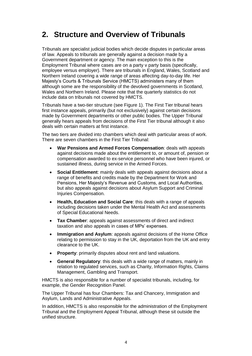## <span id="page-3-0"></span>**2. Structure and Overview of Tribunals**

Tribunals are specialist judicial bodies which decide disputes in particular areas of law. Appeals to tribunals are generally against a decision made by a Government department or agency. The main exception to this is the Employment Tribunal where cases are on a party v party basis (specifically, employee versus employer). There are tribunals in England, Wales, Scotland and Northern Ireland covering a wide range of areas affecting day-to-day life. Her Majesty's Courts & Tribunals Service (HMCTS) administers many of them although some are the responsibility of the devolved governments in Scotland, Wales and Northern Ireland. Please note that the quarterly statistics do not include data on tribunals not covered by HMCTS.

Tribunals have a two-tier structure (see Figure 1). The First Tier tribunal hears first instance appeals, primarily (but not exclusively) against certain decisions made by Government departments or other public bodies. The Upper Tribunal generally hears appeals from decisions of the First Tier tribunal although it also deals with certain matters at first instance.

The two tiers are divided into chambers which deal with particular areas of work. There are seven chambers in the First Tier Tribunal:

- **War Pensions and Armed Forces Compensation**: deals with appeals against decisions made about the entitlement to, or amount of, pension or compensation awarded to ex-service personnel who have been injured, or sustained illness, during service in the Armed Forces.
- **Social Entitlement**: mainly deals with appeals against decisions about a range of benefits and credits made by the Department for Work and Pensions, Her Majesty's Revenue and Customs, and Local Authorities, but also appeals against decisions about Asylum Support and Criminal Injuries Compensation.
- **Health, Education and Social Care**: this deals with a range of appeals including decisions taken under the Mental Health Act and assessments of Special Educational Needs.
- **Tax Chamber**: appeals against assessments of direct and indirect taxation and also appeals in cases of MPs' expenses.
- **Immigration and Asylum**: appeals against decisions of the Home Office relating to permission to stay in the UK, deportation from the UK and entry clearance to the UK.
- **Property**: primarily disputes about rent and land valuations.
- **General Regulatory**: this deals with a wide range of matters, mainly in relation to regulated services, such as Charity, Information Rights, Claims Management, Gambling and Transport.

HMCTS is also responsible for a number of specialist tribunals, including, for example, the Gender Recognition Panel.

The Upper Tribunal has four Chambers: Tax and Chancery, Immigration and Asylum, Lands and Administrative Appeals.

In addition, HMCTS is also responsible for the administration of the Employment Tribunal and the Employment Appeal Tribunal, although these sit outside the unified structure.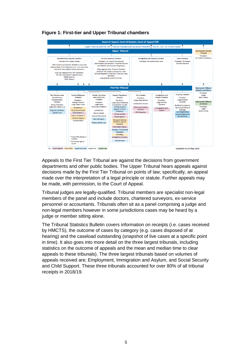

## **Figure 1: First-tier and Upper Tribunal chambers**

Appeals to the First Tier Tribunal are against the decisions from government departments and other public bodies. The Upper Tribunal hears appeals against decisions made by the First Tier Tribunal on points of law; specifically, an appeal made over the interpretation of a legal principle or statute. Further appeals may be made, with permission, to the Court of Appeal.

Tribunal judges are legally-qualified. Tribunal members are specialist non-legal members of the panel and include doctors, chartered surveyors, ex-service personnel or accountants. Tribunals often sit as a panel comprising a judge and non-legal members however in some jurisdictions cases may be heard by a judge or member sitting alone.

The Tribunal Statistics Bulletin covers information on receipts (i.e. cases received by HMCTS), the outcome of cases by category (e.g. cases disposed of at hearing) and the caseload outstanding (snapshot of live cases at a specific point in time). It also goes into more detail on the three largest tribunals, including statistics on the outcome of appeals and the mean and median time to clear appeals to these tribunals). The three largest tribunals based on volumes of appeals received are; Employment, Immigration and Asylum, and Social Security and Child Support. These three tribunals accounted for over 80% of all tribunal receipts in 2018/19.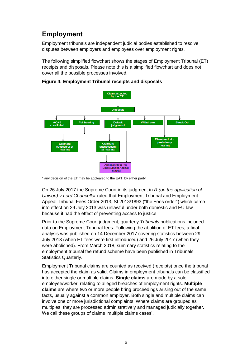## <span id="page-5-0"></span>**Employment**

Employment tribunals are independent judicial bodies established to resolve disputes between employers and employees over employment rights.

The following simplified flowchart shows the stages of Employment Tribunal (ET) receipts and disposals. Please note this is a simplified flowchart and does not cover all the possible processes involved.



**Figure 4: Employment Tribunal receipts and disposals**

On 26 July 2017 the Supreme Court in its judgment in *R (on the application of Unison) v Lord Chancellor* ruled that Employment Tribunal and Employment Appeal Tribunal Fees Order 2013, SI 2013/1893 ("the Fees order") which came into effect on 29 July 2013 was unlawful under both domestic and EU law because it had the effect of preventing access to justice.

Prior to the Supreme Court judgment, quarterly *Tribunals* publications included data on Employment Tribunal fees. Following the abolition of ET fees, a final analysis was published on 14 December 2017 covering statistics between 29 July 2013 (when ET fees were first introduced) and 26 July 2017 (when they were abolished). From March 2018, summary statistics relating to the employment tribunal fee refund scheme have been published in Tribunals Statistics Quarterly.

Employment Tribunal claims are counted as received (receipts) once the tribunal has accepted the claim as valid. Claims in employment tribunals can be classified into either single or multiple claims. **Single claims** are made by a sole employee/worker, relating to alleged breaches of employment rights. **Multiple claims** are where two or more people bring proceedings arising out of the same facts, usually against a common employer. Both single and multiple claims can involve one or more jurisdictional complaints. Where claims are grouped as multiples, they are processed administratively and managed judicially together. We call these groups of claims 'multiple claims cases'.

<sup>\*</sup> any decision of the ET may be applealed to the EAT, by either party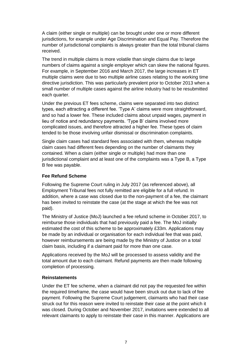A claim (either single or multiple) can be brought under one or more different jurisdictions, for example under Age Discrimination and Equal Pay. Therefore the number of jurisdictional complaints is always greater than the total tribunal claims received.

The trend in multiple claims is more volatile than single claims due to large numbers of claims against a single employer which can skew the national figures. For example, in September 2016 and March 2017, the large increases in ET multiple claims were due to two multiple airline cases relating to the working time directive jurisdiction. This was particularly prevalent prior to October 2013 when a small number of multiple cases against the airline industry had to be resubmitted each quarter.

Under the previous ET fees scheme, claims were separated into two distinct types, each attracting a different fee. 'Type A' claims were more straightforward, and so had a lower fee. These included claims about unpaid wages, payment in lieu of notice and redundancy payments. 'Type B' claims involved more complicated issues, and therefore attracted a higher fee. These types of claim tended to be those involving unfair dismissal or discrimination complaints.

Single claim cases had standard fees associated with them, whereas multiple claim cases had different fees depending on the number of claimants they contained. When a claim (either single or multiple) had more than one jurisdictional complaint and at least one of the complaints was a Type B, a Type B fee was payable.

### **Fee Refund Scheme**

Following the Supreme Court ruling in July 2017 (as referenced above), all Employment Tribunal fees not fully remitted are eligible for a full refund. In addition, where a case was closed due to the non-payment of a fee, the claimant has been invited to reinstate the case (at the stage at which the fee was not paid).

The Ministry of Justice (MoJ) launched a fee refund scheme in October 2017, to reimburse those individuals that had previously paid a fee. The MoJ initially estimated the cost of this scheme to be approximately £33m. Applications may be made by an individual or organisation for each individual fee that was paid, however reimbursements are being made by the Ministry of Justice on a total claim basis, including if a claimant paid for more than one case.

Applications received by the MoJ will be processed to assess validity and the total amount due to each claimant. Refund payments are then made following completion of processing.

#### **Reinstatements**

Under the ET fee scheme, when a claimant did not pay the requested fee within the required timeframe, the case would have been struck out due to lack of fee payment. Following the Supreme Court judgement, claimants who had their case struck out for this reason were invited to reinstate their case at the point which it was closed. During October and November 2017, invitations were extended to all relevant claimants to apply to reinstate their case in this manner. Applications are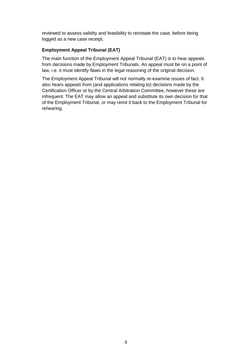reviewed to assess validity and feasibility to reinstate the case, before being logged as a new case receipt.

### **Employment Appeal Tribunal (EAT)**

The main function of the Employment Appeal Tribunal (EAT) is to hear appeals from decisions made by Employment Tribunals. An appeal must be on a point of law, i.e. it must identify flaws in the legal reasoning of the original decision.

The Employment Appeal Tribunal will not normally re-examine issues of fact. It also hears appeals from (and applications relating to) decisions made by the Certification Officer or by the Central Arbitration Committee, however these are infrequent. The EAT may allow an appeal and substitute its own decision for that of the Employment Tribunal, or may remit it back to the Employment Tribunal for rehearing.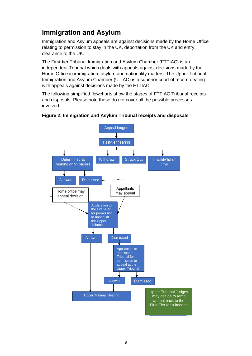## <span id="page-8-0"></span>**Immigration and Asylum**

Immigration and Asylum appeals are against decisions made by the Home Office relating to permission to stay in the UK, deportation from the UK and entry clearance to the UK.

The First-tier Tribunal Immigration and Asylum Chamber (FTTIAC) is an independent Tribunal which deals with appeals against decisions made by the Home Office in immigration, asylum and nationality matters. The Upper Tribunal Immigration and Asylum Chamber (UTIAC) is a superior court of record dealing with appeals against decisions made by the FTTIAC.

The following simplified flowcharts show the stages of FTTIAC Tribunal receipts and disposals. Please note these do not cover all the possible processes involved.



#### **Figure 2: Immigration and Asylum Tribunal receipts and disposals**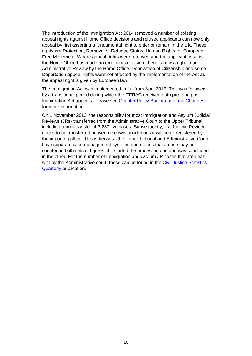The introduction of the Immigration Act 2014 removed a number of existing appeal rights against Home Office decisions and refused applicants can now only appeal by first asserting a fundamental right to enter or remain in the UK. These rights are Protection, Removal of Refugee Status, Human Rights, or European Free Movement. Where appeal rights were removed and the applicant asserts the Home Office has made an error in its decision, there is now a right to an Administrative Review by the Home Office. Deprivation of Citizenship and some Deportation appeal rights were not affected by the implementation of the Act as the appeal right is given by European law.

The Immigration Act was implemented in full from April 2015. This was followed by a transitional period during which the FTTIAC received both pre- and post-Immigration Act appeals. Please see Chapter [Policy Background and Changes](#page-27-1) for more information.

On 1 November 2013, the responsibility for most Immigration and Asylum Judicial Reviews (JRs) transferred from the Administrative Court to the Upper Tribunal, including a bulk transfer of 3,230 live cases. Subsequently, if a Judicial Review needs to be transferred between the two jurisdictions it will be re-registered by the importing office. This is because the Upper Tribunal and Administrative Court have separate case management systems and means that a case may be counted in both sets of figures, if it started the process in one and was concluded in the other. For the number of Immigration and Asylum JR cases that are dealt with by the Administrative court, these can be found in the [Civil Justice Statistics](http://www.gov.uk/government/collections/civil-justice-statistics-quarterly)  [Quarterly](http://www.gov.uk/government/collections/civil-justice-statistics-quarterly) publication.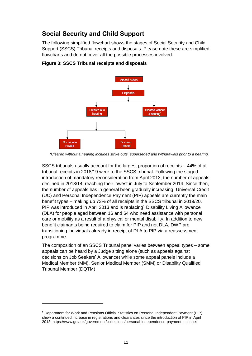## <span id="page-10-0"></span>**Social Security and Child Support**

The following simplified flowchart shows the stages of Social Security and Child Support (SSCS) Tribunal receipts and disposals. Please note these are simplified flowcharts and do not cover all the possible processes involved.



**Figure 3: SSCS Tribunal receipts and disposals**

SSCS tribunals usually account for the largest proportion of receipts – 44% of all tribunal receipts in 2018/19 were to the SSCS tribunal. Following the staged introduction of mandatory reconsideration from April 2013, the number of appeals declined in 2013/14, reaching their lowest in July to September 2014. Since then, the number of appeals has in general been gradually increasing. Universal Credit (UC) and Personal Independence Payment (PIP) appeals are currently the main benefit types – making up 73% of all receipts in the SSCS tribunal in 2019/20. PIP was introduced in April 2013 and is replacing<sup>1</sup> Disability Living Allowance (DLA) for people aged between 16 and 64 who need assistance with personal care or mobility as a result of a physical or mental disability. In addition to new benefit claimants being required to claim for PIP and not DLA, DWP are transitioning individuals already in receipt of DLA to PIP via a reassessment programme.

The composition of an SSCS Tribunal panel varies between appeal types – some appeals can be heard by a Judge sitting alone (such as appeals against decisions on Job Seekers' Allowance) while some appeal panels include a Medical Member (MM), Senior Medical Member (SMM) or Disability Qualified Tribunal Member (DQTM).

l

 *<sup>\*</sup>Cleared without a hearing includes strike outs, superseded and withdrawals prior to a hearing.*

<sup>1</sup> Department for Work and Pensions Official Statistics on Personal Independent Payment (PIP) show a continued increase in registrations and clearances since the introduction of PIP in April 2013:<https://www.gov.uk/government/collections/personal-independence-payment-statistics>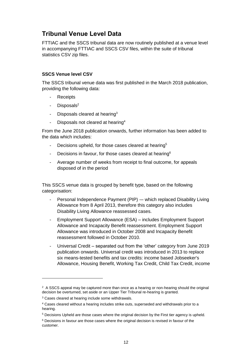## <span id="page-11-0"></span>**Tribunal Venue Level Data**

FTTIAC and the SSCS tribunal data are now routinely published at a venue level in accompanying FTTIAC and SSCS CSV files, within the suite of tribunal statistics CSV zip files.

### **SSCS Venue level CSV**

The SSCS tribunal venue data was first published in the March 2018 publication, providing the following data:

- **Receipts**
- Disposals<sup>2</sup>
- Disposals cleared at hearing $3$
- Disposals not cleared at hearing<sup>4</sup>

From the June 2018 publication onwards, further information has been added to the data which includes:

- Decisions upheld, for those cases cleared at hearing<sup>5</sup>
- Decisions in favour, for those cases cleared at hearing<sup>6</sup>
- Average number of weeks from receipt to final outcome, for appeals disposed of in the period

This SSCS venue data is grouped by benefit type, based on the following categorisation:

- Personal Independence Payment (PIP) -- which replaced Disability Living Allowance from 8 April 2013, therefore this category also includes Disability Living Allowance reassessed cases.
- Employment Support Allowance (ESA) includes Employment Support Allowance and Incapacity Benefit reassessment. Employment Support Allowance was introduced in October 2008 and Incapacity Benefit reassessment followed in October 2010.
- Universal Credit separated out from the 'other' category from June 2019 publication onwards. Universal credit was introduced in 2013 to replace six means-tested benefits and tax credits: income based Jobseeker's Allowance, Housing Benefit, Working Tax Credit, Child Tax Credit, income

l

 $2$  A SSCS appeal may be captured more than once as a hearing or non-hearing should the original decision be overturned, set aside or an Upper Tier Tribunal re-hearing is granted.

<sup>3</sup> Cases cleared at hearing include some withdrawals.

<sup>4</sup> Cases cleared without a hearing includes strike outs, superseded and withdrawals prior to a hearing.

<sup>5</sup> Decisions Upheld are those cases where the original decision by the First tier agency is upheld.

 $6$  Decisions in favour are those cases where the original decision is revised in favour of the customer.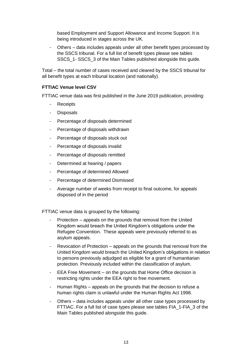based Employment and Support Allowance and Income Support. It is being introduced in stages across the UK.

Others – data includes appeals under all other benefit types processed by the SSCS tribunal. For a full list of benefit types please see tables SSCS 1- SSCS 3 of the Main Tables published alongside this quide.

Total – the total number of cases received and cleared by the SSCS tribunal for all benefit types at each tribunal location (and nationally).

## **FTTIAC Venue level CSV**

FTTIAC venue data was first published in the June 2019 publication, providing:

- **Receipts**
- Disposals
- Percentage of disposals determined
- Percentage of disposals withdrawn
- Percentage of disposals stuck out
- Percentage of disposals invalid
- Percentage of disposals remitted
- Determined at hearing / papers
- Percentage of determined Allowed
- Percentage of determined Dismissed
- Average number of weeks from receipt to final outcome, for appeals disposed of in the period

FTTIAC venue data is grouped by the following:

- Protection appeals on the grounds that removal from the United Kingdom would breach the United Kingdom's obligations under the Refugee Convention. These appeals were previously referred to as asylum appeals.
- Revocation of Protection appeals on the grounds that removal from the United Kingdom would breach the United Kingdom's obligations in relation to persons previously adjudged as eligible for a grant of humanitarian protection. Previously included within the classification of asylum.
- EEA Free Movement on the grounds that Home Office decision is restricting rights under the EEA right to free movement.
- Human Rights appeals on the grounds that the decision to refuse a human rights claim is unlawful under the Human Rights Act 1998.
- Others data includes appeals under all other case types processed by FTTIAC. For a full list of case types please see tables FIA\_1-FIA\_3 of the Main Tables published alongside this guide.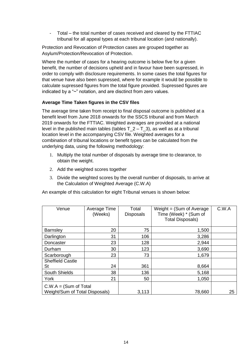Total – the total number of cases received and cleared by the FTTIAC tribunal for all appeal types at each tribunal location (and nationally).

Protection and Revocation of Protection cases are grouped together as Asylum/Protection/Revocation of Protection.

Where the number of cases for a hearing outcome is below five for a given benefit, the number of decisions upheld and in favour have been supressed, in order to comply with disclosure requirements. In some cases the total figures for that venue have also been supressed, where for example it would be possible to calculate supressed figures from the total figure provided. Supressed figures are indicated by a "~" notation, and are disctinct from zero values.

## **Average Time Taken figures in the CSV files**

The average time taken from receipt to final disposal outcome is published at a benefit level from June 2018 onwards for the SSCS tribunal and from March 2019 onwards for the FTTIAC. Weighted averages are provided at a national level in the published main tables (tables  $T_2 - T_3$ ), as well as at a tribunal location level in the accompanying CSV file. Weighted averages for a combination of tribunal locations or benefit types can be calculated from the underlying data, using the following methodology:

- 1. Multiply the total number of disposals by average time to clearance, to obtain the weight.
- 2. Add the weighted scores together
- 3. Divide the weighted scores by the overall number of disposals, to arrive at the Calculation of Weighted Average (C.W.A)

An example of this calculation for eight Tribunal venues is shown below:

| Venue                                                      | Average Time<br>(Weeks) | Total<br><b>Disposals</b> | Weight $=$ (Sum of Average)<br>Time (Week) * (Sum of<br><b>Total Disposals)</b> | C.W.A |
|------------------------------------------------------------|-------------------------|---------------------------|---------------------------------------------------------------------------------|-------|
| <b>Barnsley</b>                                            | 20                      | 75                        | 1,500                                                                           |       |
| Darlington                                                 | 31                      | 106                       | 3,286                                                                           |       |
| Doncaster                                                  | 23                      | 128                       | 2,944                                                                           |       |
| Durham                                                     | 30                      | 123                       | 3,690                                                                           |       |
| Scarborough                                                | 23                      | 73                        | 1,679                                                                           |       |
| <b>Sheffield Castle</b><br>St                              | 24                      | 361                       | 8,664                                                                           |       |
| <b>South Shields</b>                                       | 38                      | 136                       | 5,168                                                                           |       |
| York                                                       | 21                      | 50                        | 1,050                                                                           |       |
| $C.W.A = (Sum of Total)$<br>Weight/Sum of Total Disposals) |                         | 3,113                     | 78,660                                                                          | 25    |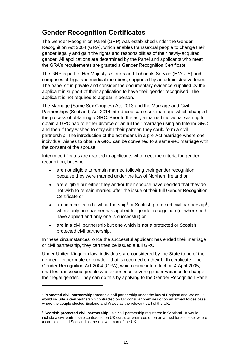## <span id="page-14-0"></span>**Gender Recognition Certificates**

The Gender Recognition Panel (GRP) was established under the Gender Recognition Act 2004 (GRA), which enables transsexual people to change their gender legally and gain the rights and responsibilities of their newly-acquired gender. All applications are determined by the Panel and applicants who meet the GRA's requirements are granted a Gender Recognition Certificate.

The GRP is part of Her Majesty's Courts and Tribunals Service (HMCTS) and comprises of legal and medical members, supported by an administrative team. The panel sit in private and consider the documentary evidence supplied by the applicant in support of their application to have their gender recognised. The applicant is not required to appear in person.

The Marriage (Same Sex Couples) Act 2013 and the Marriage and Civil Partnerships (Scotland) Act 2014 introduced same-sex marriage which changed the process of obtaining a GRC. Prior to the act, a married individual wishing to obtain a GRC had to either divorce or annul their marriage using an Interim GRC and then if they wished to stay with their partner, they could form a civil partnership. The introduction of the act means in a pre-Act marriage where one individual wishes to obtain a GRC can be converted to a same-sex marriage with the consent of the spouse.

Interim certificates are granted to applicants who meet the criteria for gender recognition, but who:

- are not eligible to remain married following their gender recognition because they were married under the law of Northern Ireland or
- are eligible but either they and/or their spouse have decided that they do not wish to remain married after the issue of their full Gender Recognition Certificate or
- are in a protected civil partnership<sup>7</sup> or Scottish protected civil partnership<sup>8</sup>, where only one partner has applied for gender recognition (or where both have applied and only one is successful) or
- are in a civil partnership but one which is not a protected or Scottish protected civil partnership.

In these circumstances, once the successful applicant has ended their marriage or civil partnership, they can then be issued a full GRC.

Under United Kingdom law, individuals are considered by the State to be of the gender – either male or female – that is recorded on their birth certificate. The Gender Recognition Act 2004 (GRA), which came into effect on 4 April 2005, enables transsexual people who experience severe gender variance to change their legal gender. They can do this by applying to the Gender Recognition Panel

l

<sup>7</sup> **Protected civil partnership:** means a civil partnership under the law of England and Wales. It would include a civil partnership contracted on UK consular premises or on an armed forces base, where the couple elected England and Wales as the relevant part of the UK.

<sup>8</sup> **Scottish protected civil partnership:** is a civil partnership registered in Scotland. It would include a civil partnership contracted on UK consular premises or on an armed forces base, where a couple elected Scotland as the relevant part of the UK.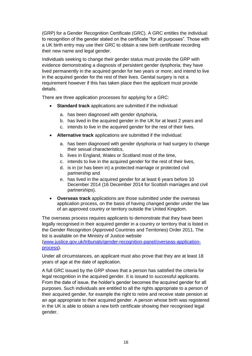(GRP) for a Gender Recognition Certificate (GRC). A GRC entitles the individual to recognition of the gender stated on the certificate "for all purposes". Those with a UK birth entry may use their GRC to obtain a new birth certificate recording their new name and legal gender.

Individuals seeking to change their gender status must provide the GRP with evidence demonstrating a diagnosis of persistent gender dysphoria; they have lived permanently in the acquired gender for two years or more; and intend to live in the acquired gender for the rest of their lives. Genital surgery is not a requirement however if this has taken place then the applicant must provide details.

There are three application processes for applying for a GRC:

- **Standard track** applications are submitted if the individual:
	- a. has been diagnosed with gender dysphoria,
	- b. has lived in the acquired gender in the UK for at least 2 years and
	- c. intends to live in the acquired gender for the rest of their lives.
- **Alternative track** applications are submitted if the individual:
	- a. has been diagnosed with gender dysphoria or had surgery to change their sexual characteristics,
	- b. lives in England, Wales or Scotland most of the time,
	- c. intends to live in the acquired gender for the rest of their lives,
	- d. is in (or has been in) a protected marriage or protected civil partnership and
	- e. has lived in the acquired gender for at least 6 years before 10 December 2014 (16 December 2014 for Scottish marriages and civil partnerships).
- **Overseas track** applications are those submitted under the overseas application process, on the basis of having changed gender under the law of an approved country or territory outside the United Kingdom.

The overseas process requires applicants to demonstrate that they have been legally recognised in their acquired gender in a country or territory that is listed in the Gender Recognition (Approved Countries and Territories) Order 2011. The list is available on the Ministry of Justice website

[\(www.justice.gov.uk/tribunals/gender-recognition-panel/overseas-application](http://www.justice.gov.uk/tribunals/gender-recognition-panel/overseas-application-process)[process\)](http://www.justice.gov.uk/tribunals/gender-recognition-panel/overseas-application-process).

Under all circumstances, an applicant must also prove that they are at least 18 years of age at the date of application.

A full GRC issued by the GRP shows that a person has satisfied the criteria for legal recognition in the acquired gender. It is issued to successful applicants. From the date of issue, the holder's gender becomes the acquired gender for all purposes. Such individuals are entitled to all the rights appropriate to a person of their acquired gender, for example the right to retire and receive state pension at an age appropriate to their acquired gender. A person whose birth was registered in the UK is able to obtain a new birth certificate showing their recognised legal gender.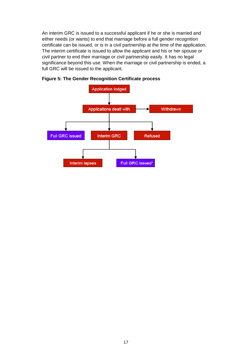An interim GRC is issued to a successful applicant if he or she is married and either needs (or wants) to end that marriage before a full gender recognition certificate can be issued, or is in a civil partnership at the time of the application. The interim certificate is issued to allow the applicant and his or her spouse or civil partner to end their marriage or civil partnership easily. It has no legal significance beyond this use. When the marriage or civil partnership is ended, a full GRC will be issued to the applicant.



**Figure 5: The Gender Recognition Certificate process**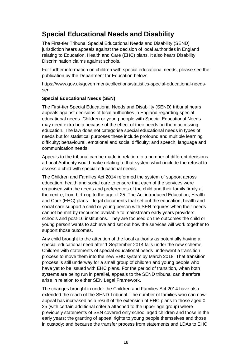## <span id="page-17-0"></span>**Special Educational Needs and Disability**

The First-tier Tribunal Special Educational Needs and Disability (SEND) jurisdiction hears appeals against the decision of local authorities in England relating to Education, Health and Care (EHC) plans. It also hears Disability Discrimination claims against schools.

For further information on children with special educational needs, please see the publication by the Department for Education below:

[https://www.gov.uk/government/collections/statistics-special-educational-needs](https://www.gov.uk/government/collections/statistics-special-educational-needs-sen)[sen](https://www.gov.uk/government/collections/statistics-special-educational-needs-sen)

### **Special Educational Needs (SEN)**

The First-tier Special Educational Needs and Disability (SEND) tribunal hears appeals against decisions of local authorities in England regarding special educational needs. Children or young people with Special Educational Needs may need extra help because of the effect of their needs on them accessing education. The law does not categorise special educational needs in types of needs but for statistical purposes these include profound and multiple learning difficulty; behavioural, emotional and social difficulty; and speech, language and communication needs.

Appeals to the tribunal can be made in relation to a number of different decisions a Local Authority would make relating to that system which include the refusal to assess a child with special educational needs.

The Children and Families Act 2014 reformed the system of support across education, health and social care to ensure that each of the services were organised with the needs and preferences of the child and their family firmly at the centre, from birth up to the age of 25. The Act introduced Education, Health and Care (EHC) plans – legal documents that set out the education, health and social care support a child or young person with SEN requires when their needs cannot be met by resources available to mainstream early years providers, schools and post-16 institutions. They are focused on the outcomes the child or young person wants to achieve and set out how the services will work together to support those outcomes.

Any child brought to the attention of the local authority as potentially having a special educational need after 1 September 2014 falls under the new scheme. Children with statements of special educational needs underwent a transition process to move them into the new EHC system by March 2018. That transition process is still underway for a small group of children and young people who have yet to be issued with EHC plans. For the period of transition, when both systems are being run in parallel, appeals to the SEND tribunal can therefore arise in relation to either SEN Legal Framework.

The changes brought in under the Children and Families Act 2014 have also extended the reach of the SEND Tribunal. The number of families who can now appeal has increased as a result of the extension of EHC plans to those aged 0- 25 (with certain additional criteria attached to the upper age group) where previously statements of SEN covered only school aged children and those in the early years; the granting of appeal rights to young people themselves and those in custody; and because the transfer process from statements and LDAs to EHC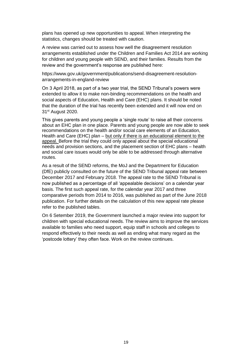plans has opened up new opportunities to appeal. When interpreting the statistics, changes should be treated with caution.

A review was carried out to assess how well the disagreement resolution arrangements established under the Children and Families Act 2014 are working for children and young people with SEND, and their families. Results from the review and the government's response are published here:

https://www.gov.uk/government/publications/send-disagreement-resolutionarrangements-in-england-review

On 3 April 2018, as part of a two year trial, the SEND Tribunal's powers were extended to allow it to make non-binding recommendations on the health and social aspects of Education, Health and Care (EHC) plans. It should be noted that the duration of the trial has recently been extended and it will now end on 31<sup>st</sup> August 2020.

This gives parents and young people a 'single route' to raise all their concerns about an EHC plan in one place. Parents and young people are now able to seek recommendations on the health and/or social care elements of an Education, Health and Care (EHC) plan – but only if there is an educational element to the appeal. Before the trial they could only appeal about the special educational needs and provision sections, and the placement section of EHC plans – health and social care issues would only be able to be addressed through alternative routes.

As a result of the SEND reforms, the MoJ and the Department for Education (DfE) publicly consulted on the future of the SEND Tribunal appeal rate between December 2017 and February 2018. The appeal rate to the SEND Tribunal is now published as a percentage of all 'appealable decisions' on a calendar year basis. The first such appeal rate, for the calendar year 2017 and three comparative periods from 2014 to 2016, was published as part of the June 2018 publication. For further details on the calculation of this new appeal rate please refer to the published tables.

On 6 Setember 2019, the Government launched a major review into support for children with special educational needs. The review aims to improve the services available to families who need support, equip staff in schools and colleges to respond effectively to their needs as well as ending what many regard as the 'postcode lottery' they often face. Work on the review continues.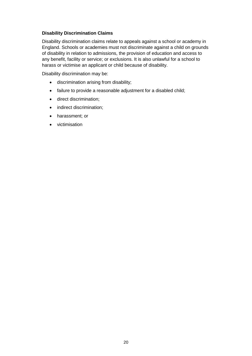### **Disability Discrimination Claims**

Disability discrimination claims relate to appeals against a school or academy in England. Schools or academies must not discriminate against a child on grounds of disability in relation to admissions, the provision of education and access to any benefit, facility or service; or exclusions. It is also unlawful for a school to harass or victimise an applicant or child because of disability.

Disability discrimination may be:

- discrimination arising from disability;
- failure to provide a reasonable adjustment for a disabled child;
- direct discrimination;
- indirect discrimination;
- harassment; or
- <span id="page-19-0"></span>• victimisation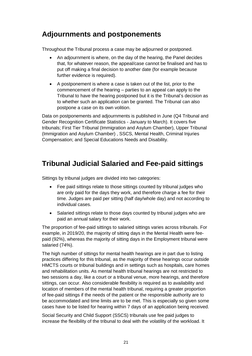## **Adjournments and postponements**

Throughout the Tribunal process a case may be adjourned or postponed.

- An adjournment is where, on the day of the hearing, the Panel decides that, for whatever reason, the appeal/case cannot be finalised and has to put off making a final decision to another date (for example because further evidence is required).
- A postponement is where a case is taken out of the list, prior to the commencement of the hearing – parties to an appeal can apply to the Tribunal to have the hearing postponed but it is the Tribunal's decision as to whether such an application can be granted. The Tribunal can also postpone a case on its own volition.

Data on postponements and adjournments is published in June (Q4 Tribunal and Gender Recognition Certificate Statistics - January to March). It covers five tribunals; First Tier Tribunal (Immigration and Asylum Chamber), Upper Tribunal (Immigration and Asylum Chamber) , SSCS, Mental Health, Criminal Injuries Compensation; and Special Educations Needs and Disability.

## <span id="page-20-0"></span>**Tribunal Judicial Salaried and Fee-paid sittings**

Sittings by tribunal judges are divided into two categories:

- Fee paid sittings relate to those sittings counted by tribunal judges who are only paid for the days they work, and therefore charge a fee for their time. Judges are paid per sitting (half day/whole day) and not according to individual cases.
- Salaried sittings relate to those days counted by tribunal judges who are paid an annual salary for their work.

The proportion of fee-paid sittings to salaried sittings varies across tribunals. For example, in 2019/20, the majority of sitting days in the Mental Health were feepaid (92%), whereas the majority of sitting days in the Employment tribunal were salaried (74%).

The high number of sittings for mental health hearings are in part due to listing practices differing for this tribunal, as the majority of these hearings occur outside HMCTS courts or tribunal buildings and in settings such as hospitals, care homes and rehabilitation units. As mental health tribunal hearings are not restricted to two sessions a day, like a court or a tribunal venue, more hearings, and therefore sittings, can occur. Also considerable flexibility is required as to availability and location of members of the mental health tribunal, requiring a greater proportion of fee-paid sittings if the needs of the patient or the responsible authority are to be accommodated and time limits are to be met. This is especially so given some cases have to be listed for hearing within 7 days of an application being received.

Social Security and Child Support (SSCS) tribunals use fee paid judges to increase the flexibility of the tribunal to deal with the volatility of the workload. It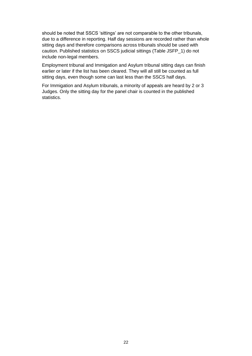should be noted that SSCS 'sittings' are not comparable to the other tribunals, due to a difference in reporting. Half day sessions are recorded rather than whole sitting days and therefore comparisons across tribunals should be used with caution. Published statistics on SSCS judicial sittings (Table JSFP\_1) do not include non-legal members.

Employment tribunal and Immigation and Asylum tribunal sitting days can finish earlier or later if the list has been cleared. They will all still be counted as full sitting days, even though some can last less than the SSCS half days.

For Immigation and Asylum tribunals, a minority of appeals are heard by 2 or 3 Judges. Only the sitting day for the panel chair is counted in the published statistics.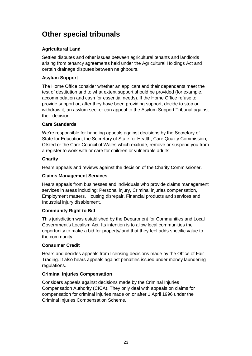## <span id="page-22-0"></span>**Other special tribunals**

## **Agricultural Land**

Settles disputes and other issues between agricultural tenants and landlords arising from tenancy agreements held under the Agricultural Holdings Act and certain drainage disputes between neighbours.

## **Asylum Support**

The Home Office consider whether an applicant and their dependants meet the test of destitution and to what extent support should be provided (for example, accommodation and cash for essential needs). If the Home Office refuse to provide support or, after they have been providing support, decide to stop or withdraw it, an asylum seeker can appeal to the Asylum Support Tribunal against their decision.

## **Care Standards**

We're responsible for handling appeals against decisions by the Secretary of State for Education, the Secretary of State for Health, Care Quality Commission, Ofsted or the Care Council of Wales which exclude, remove or suspend you from a register to work with or care for children or vulnerable adults.

## **Charity**

Hears appeals and reviews against the decision of the Charity Commissioner.

## **Claims Management Services**

Hears appeals from businesses and individuals who provide claims management services in areas including: Personal injury, Criminal injuries compensation, Employment matters, Housing disrepair, Financial products and services and Industrial injury disablement.

## **Community Right to Bid**

This jurisdiction was established by the Department for Communities and Local Government's Localism Act. Its intention is to allow local communities the opportunity to make a bid for property/land that they feel adds specific value to the community.

#### **Consumer Credit**

Hears and decides appeals from licensing decisions made by the Office of Fair Trading. It also hears appeals against penalties issued under money laundering regulations.

## **Criminal Injuries Compensation**

Considers appeals against decisions made by the Criminal Injuries Compensation Authority (CICA). They only deal with appeals on claims for compensation for criminal injuries made on or after 1 April 1996 under the Criminal Injuries Compensation Scheme.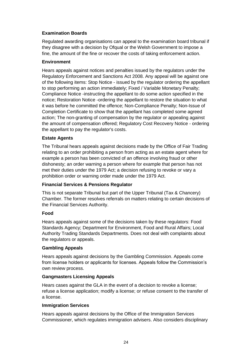## **Examination Boards**

Regulated awarding organisations can appeal to the examination board tribunal if they disagree with a decision by Ofqual or the Welsh Government to impose a fine, the amount of the fine or recover the costs of taking enforcement action.

### **Environment**

Hears appeals against notices and penalties issued by the regulators under the Regulatory Enforcement and Sanctions Act 2008. Any appeal will be against one of the following items: Stop Notice - issued by the regulator ordering the appellant to stop performing an action immediately; Fixed / Variable Monetary Penalty; Compliance Notice -instructing the appellant to do some action specified in the notice; Restoration Notice -ordering the appellant to restore the situation to what it was before he committed the offence; Non-Compliance Penalty; Non-Issue of Completion Certificate to show that the appellant has completed some agreed action; The non-granting of compensation by the regulator or appealing against the amount of compensation offered; Regulatory Cost Recovery Notice - ordering the appellant to pay the regulator's costs.

### **Estate Agents**

The Tribunal hears appeals against decisions made by the Office of Fair Trading relating to an order prohibiting a person from acting as an estate agent where for example a person has been convicted of an offence involving fraud or other dishonesty; an order warning a person where for example that person has not met their duties under the 1979 Act; a decision refusing to revoke or vary a prohibition order or warning order made under the 1979 Act.

## **Financial Services & Pensions Regulator**

This is not separate Tribunal but part of the Upper Tribunal (Tax & Chancery) Chamber. The former resolves referrals on matters relating to certain decisions of the Financial Services Authority.

#### **Food**

Hears appeals against some of the decisions taken by these regulators: Food Standards Agency; Department for Environment, Food and Rural Affairs; Local Authority Trading Standards Departments. Does not deal with complaints about the regulators or appeals.

#### **Gambling Appeals**

Hears appeals against decisions by the Gambling Commission. Appeals come from license holders or applicants for licenses. Appeals follow the Commission's own review process.

#### **Gangmasters Licensing Appeals**

Hears cases against the GLA in the event of a decision to revoke a license; refuse a license application; modify a license; or refuse consent to the transfer of a license.

## **Immigration Services**

Hears appeals against decisions by the Office of the Immigration Services Commissioner, which regulates immigration advisers. Also considers disciplinary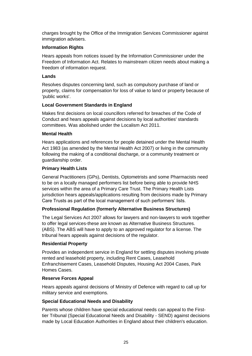charges brought by the Office of the Immigration Services Commissioner against immigration advisers.

## **Information Rights**

Hears appeals from notices issued by the Information Commissioner under the Freedom of Information Act. Relates to mainstream citizen needs about making a freedom of information request.

#### **Lands**

Resolves disputes concerning land, such as compulsory purchase of land or property, claims for compensation for loss of value to land or property because of 'public works'.

#### **Local Government Standards in England**

Makes first decisions on local councillors referred for breaches of the Code of Conduct and hears appeals against decisions by local authorities' standards committees. Was abolished under the Localism Act 2011.

#### **Mental Health**

Hears applications and references for people detained under the Mental Health Act 1983 (as amended by the Mental Health Act 2007) or living in the community following the making of a conditional discharge, or a community treatment or guardianship order.

### **Primary Health Lists**

General Practitioners (GPs), Dentists, Optometrists and some Pharmacists need to be on a locally managed performers list before being able to provide NHS services within the area of a Primary Care Trust. The Primary Health Lists jurisdiction hears appeals/applications resulting from decisions made by Primary Care Trusts as part of the local management of such performers' lists.

## **Professional Regulation (formerly Alternative Business Structures)**

The Legal Services Act 2007 allows for lawyers and non-lawyers to work together to offer legal services-these are known as Alternative Business Structures. (ABS). The ABS will have to apply to an approved regulator for a license. The tribunal hears appeals against decisions of the regulator.

#### **Residential Property**

Provides an independent service in England for settling disputes involving private rented and leasehold property, including Rent Cases, Leasehold Enfranchisement Cases, Leasehold Disputes, Housing Act 2004 Cases, Park Homes Cases.

## **Reserve Forces Appeal**

Hears appeals against decisions of Ministry of Defence with regard to call up for military service and exemptions.

#### **Special Educational Needs and Disability**

Parents whose children have special educational needs can appeal to the Firsttier Tribunal (Special Educational Needs and Disability - SEND) against decisions made by Local Education Authorities in England about their children's education.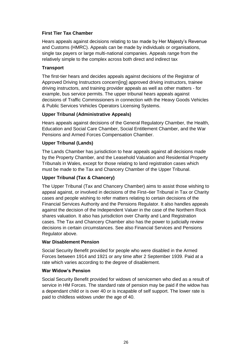## **First Tier Tax Chamber**

Hears appeals against decisions relating to tax made by Her Majesty's Revenue and Customs (HMRC). Appeals can be made by individuals or organisations, single tax payers or large multi-national companies. Appeals range from the relatively simple to the complex across both direct and indirect tax

## **Transport**

The first-tier hears and decides appeals against decisions of the Registrar of Approved Driving Instructors concern[ing] approved driving instructors, trainee driving instructors, and training provider appeals as well as other matters - for example, bus service permits. The upper tribunal hears appeals against decisions of Traffic Commissioners in connection with the Heavy Goods Vehicles & Public Services Vehicles Operators Licensing Systems.

### **Upper Tribunal (Administrative Appeals)**

Hears appeals against decisions of the General Regulatory Chamber, the Health, Education and Social Care Chamber, Social Entitlement Chamber, and the War Pensions and Armed Forces Compensation Chamber.

### **Upper Tribunal (Lands)**

The Lands Chamber has jurisdiction to hear appeals against all decisions made by the Property Chamber, and the Leasehold Valuation and Residential Property Tribunals in Wales, except for those relating to land registration cases which must be made to the Tax and Chancery Chamber of the Upper Tribunal.

## **Upper Tribunal (Tax & Chancery)**

The Upper Tribunal (Tax and Chancery Chamber) aims to assist those wishing to appeal against, or involved in decisions of the First–tier Tribunal in Tax or Charity cases and people wishing to refer matters relating to certain decisions of the Financial Services Authority and the Pensions Regulator. It also handles appeals against the decision of the Independent Valuer in the case of the Northern Rock shares valuation. It also has jurisdiction over Charity and Land Registration cases. The Tax and Chancery Chamber also has the power to judicially review decisions in certain circumstances. See also Financial Services and Pensions Regulator above.

#### **War Disablement Pension**

Social Security Benefit provided for people who were disabled in the Armed Forces between 1914 and 1921 or any time after 2 September 1939. Paid at a rate which varies according to the degree of disablement.

#### **War Widow's Pension**

Social Security Benefit provided for widows of servicemen who died as a result of service in HM Forces. The standard rate of pension may be paid if the widow has a dependant child or is over 40 or is incapable of self support. The lower rate is paid to childless widows under the age of 40.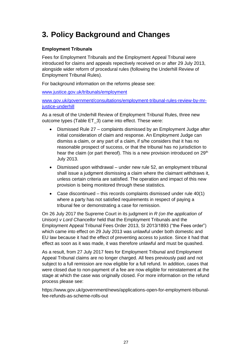## <span id="page-26-0"></span>**3. Policy Background and Changes**

## <span id="page-26-1"></span>**Employment Tribunals**

Fees for Employment Tribunals and the Employment Appeal Tribunal were introduced for claims and appeals repectively received on or after 29 July 2013, alongside wider reform of procedural rules (following the Underhill Review of Employment Tribunal Rules).

For background information on the reforms please see:

[www.justice.gov.uk/tribunals/employment](http://www.justice.gov.uk/tribunals/employment)

[www.gov.uk/government/consultations/employment-tribunal-rules-review-by-mr](https://www.gov.uk/government/consultations/employment-tribunal-rules-review-by-mr-justice-underhill)[justice-underhill](https://www.gov.uk/government/consultations/employment-tribunal-rules-review-by-mr-justice-underhill)

As a result of the Underhill Review of Employment Tribunal Rules, three new outcome types (Table ET\_3) came into effect. These were:

- Dismissed Rule 27 complaints dismissed by an Employment Judge after initial consideration of claim and response. An Employment Judge can dismiss a claim, or any part of a claim, if s/he considers that it has no reasonable prospect of success, or that the tribunal has no jurisdiction to hear the claim (or part thereof). This is a new provision introduced on 29<sup>th</sup> July 2013.
- Dismissed upon withdrawal under new rule 52, an employment tribunal shall issue a judgment dismissing a claim where the claimant withdraws it, unless certain criteria are satisfied. The operation and impact of this new provision is being monitored through these statistics.
- Case discontinued this records complaints dismissed under rule 40(1) where a party has not satisfied requirements in respect of paying a tribunal fee or demonstrating a case for remission.

On 26 July 2017 the Supreme Court in its judgment in *R (on the application of Unison) v Lord Chancellor* held that the Employment Tribunals and the Employment Appeal Tribunal Fees Order 2013, SI 2013/1893 ("the Fees order") which came into effect on 29 July 2013 was unlawful under both domestic and EU law because it had the effect of preventing access to justice. Since it had that effect as soon as it was made, it was therefore unlawful and must be quashed.

As a result, from 27 July 2017 fees for Employment Tribunal and Employment Appeal Tribunal claims are no longer charged. All fees previously paid and not subject to a full remission are now eligible for a full refund. In addition, cases that were closed due to non-payment of a fee are now eligible for reinstatement at the stage at which the case was originally closed. For more information on the refund process please see:

[https://www.gov.uk/government/news/applications-open-for-employment-tribunal](https://www.gov.uk/government/news/applications-open-for-employment-tribunal-fee-refunds-as-scheme-rolls-out)[fee-refunds-as-scheme-rolls-out](https://www.gov.uk/government/news/applications-open-for-employment-tribunal-fee-refunds-as-scheme-rolls-out)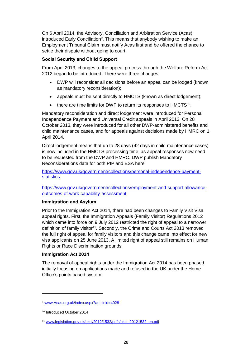On 6 April 2014, the Advisory, Conciliation and Arbitration Service (Acas) introduced Early Conciliation<sup>9</sup>. This means that anybody wishing to make an Employment Tribunal Claim must notify Acas first and be offered the chance to settle their dispute without going to court.

### <span id="page-27-0"></span>**Social Security and Child Support**

From April 2013, changes to the appeal process through the Welfare Reform Act 2012 began to be introduced. There were three changes:

- DWP will reconsider all decisions before an appeal can be lodged (known as mandatory reconsideration);
- appeals must be sent directly to HMCTS (known as direct lodgement);
- $\bullet$  there are time limits for DWP to return its responses to HMCTS<sup>10</sup>.

Mandatory reconsideration and direct lodgement were introduced for Personal Independence Payment and Universal Credit appeals in April 2013. On 28 October 2013, they were introduced for all other DWP-administered benefits and child maintenance cases, and for appeals against decisions made by HMRC on 1 April 2014.

Direct lodgement means that up to 28 days (42 days in child maintenance cases) is now included in the HMCTS processing time, as appeal responses now need to be requested from the DWP and HMRC. DWP publish Mandatory Reconsiderations data for both PIP and ESA here:

[https://www.gov.uk/government/collections/personal-independence-payment](https://www.gov.uk/government/collections/personal-independence-payment-statistics)**[statistics](https://www.gov.uk/government/collections/personal-independence-payment-statistics)** 

[https://www.gov.uk/government/collections/employment-and-support-allowance](https://www.gov.uk/government/collections/employment-and-support-allowance-outcomes-of-work-capability-assessment)[outcomes-of-work-capability-assessment](https://www.gov.uk/government/collections/employment-and-support-allowance-outcomes-of-work-capability-assessment)

#### <span id="page-27-1"></span>**Immigration and Asylum**

Prior to the Immigration Act 2014, there had been changes to Family Visit Visa appeal rights. First, the Immigration Appeals (Family Visitor) Regulations 2012 which came into force on 9 July 2012 restricted the right of appeal to a narrower definition of family visitor<sup>11</sup>. Secondly, the Crime and Courts Act 2013 removed the full right of appeal for family visitors and this change came into effect for new visa applicants on 25 June 2013. A limited right of appeal still remains on Human Rights or Race Discrimination grounds.

#### **Immigration Act 2014**

The removal of appeal rights under the Immigration Act 2014 has been phased, initially focusing on applications made and refused in the UK under the Home Office's points based system.

l

<sup>9</sup> [www.Acas.org.uk/index.aspx?articleid=4028](http://www.acas.org.uk/index.aspx?articleid=4028)

<sup>10</sup> Introduced October 2014

<sup>11</sup> [www.legislation.gov.uk/uksi/2012/1532/pdfs/uksi\\_20121532\\_en.pdf](http://www.ukba.homeoffice.gov.uk/sitecontent/newsarticles/2012/june/25-family-visit-visa-appeal)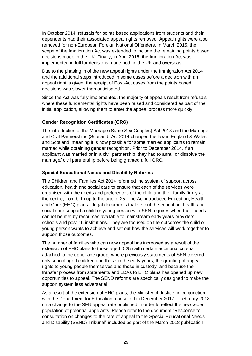In October 2014, refusals for points based applications from students and their dependents had their associated appeal rights removed. Appeal rights were also removed for non-European Foreign National Offenders. In March 2015, the scope of the Immigration Act was extended to include the remaining points based decisions made in the UK. Finally, in April 2015, the Immigration Act was implemented in full for decisions made both in the UK and overseas.

Due to the phasing in of the new appeal rights under the Immigration Act 2014 and the additional steps introduced in some cases before a decision with an appeal right is given, the receipt of Post-Act cases from the points based decisions was slower than anticipated.

Since the Act was fully implemented, the majority of appeals result from refusals where these fundamental rights have been raised and considered as part of the initial application, allowing them to enter the appeal process more quickly.

## <span id="page-28-0"></span>**Gender Recognition Certificates (GRC)**

The introduction of the Marriage (Same Sex Couples) Act 2013 and the Marriage and Civil Partnerships (Scotland) Act 2014 changed the law in England & Wales and Scotland, meaning it is now possible for some married applicants to remain married while obtaining gender recognition. Prior to December 2014, if an applicant was married or in a civil partnership, they had to annul or dissolve the marriage/ civil partnership before being granted a full GRC.

## <span id="page-28-1"></span>**Special Educational Needs and Disability Reforms**

The Children and Families Act 2014 reformed the system of support across education, health and social care to ensure that each of the services were organised with the needs and preferences of the child and their family firmly at the centre, from birth up to the age of 25. The Act introduced Education, Health and Care (EHC) plans – legal documents that set out the education, health and social care support a child or young person with SEN requires when their needs cannot be met by resources available to mainstream early years providers, schools and post-16 institutions. They are focused on the outcomes the child or young person wants to achieve and set out how the services will work together to support those outcomes.

The number of families who can now appeal has increased as a result of the extension of EHC plans to those aged 0-25 (with certain additional criteria attached to the upper age group) where previously statements of SEN covered only school aged children and those in the early years; the granting of appeal rights to young people themselves and those in custody; and because the transfer process from statements and LDAs to EHC plans has opened up new opportunities to appeal. The SEND reforms are specifically designed to make the support system less adversarial.

As a result of the extension of EHC plans, the Ministry of Justice, in conjunction with the Department for Education, consulted in December 2017 – February 2018 on a change to the SEN appeal rate published in order to reflect the new wider population of potential appelants. Please refer to the document "Response to consultation on changes to the rate of appeal to the Special Educational Needs and Disability (SEND) Tribunal" included as part of the March 2018 publication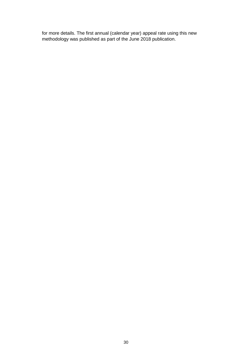for more details. The first annual (calendar year) appeal rate using this new methodology was published as part of the June 2018 publication.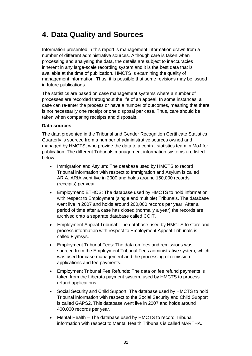## <span id="page-30-0"></span>**4. Data Quality and Sources**

Information presented in this report is management information drawn from a number of different administrative sources. Although care is taken when processing and analysing the data, the details are subject to inaccuracies inherent in any large-scale recording system and it is the best data that is available at the time of publication. HMCTS is examining the quality of management information. Thus, it is possible that some revisions may be issued in future publications.

The statistics are based on case management systems where a number of processes are recorded throughout the life of an appeal. In some instances, a case can re-enter the process or have a number of outcomes, meaning that there is not necessarily one receipt or one disposal per case. Thus, care should be taken when comparing receipts and disposals.

#### **Data sources**

The data presented in the Tribunal and Gender Recognition Certificate Statistics Quarterly is sourced from a number of administrative sources owned and managed by HMCTS, who provide the data to a central statistics team in MoJ for publication. The different Tribunals management information systems are listed below;

- Immigration and Asylum: The database used by HMCTS to record Tribunal information with respect to Immigration and Asylum is called ARIA. ARIA went live in 2000 and holds around 150,000 records (receipts) per year.
- Employment: ETHOS: The database used by HMCTS to hold information with respect to Employment (single and multiple) Tribunals. The database went live in 2007 and holds around 200,000 records per year. After a period of time after a case has closed (normally a year) the records are archived onto a separate database called COIT.
- Employment Appeal Tribunal: The database used by HMCTS to store and process information with respect to Employment Appeal Tribunals is called Flymsys.
- Employment Tribunal Fees: The data on fees and remissions was sourced from the Employment Tribunal Fees administrative system, which was used for case management and the processing of remission applications and fee payments.
- Employment Tribunal Fee Refunds: The data on fee refund payments is taken from the Liberata payment system, used by HMCTS to process refund applications.
- Social Security and Child Support: The database used by HMCTS to hold Tribunal information with respect to the Social Security and Child Support is called GAPS2. This database went live in 2007 and holds around 400,000 records per year.
- Mental Health The database used by HMCTS to record Tribunal information with respect to Mental Health Tribunals is called MARTHA.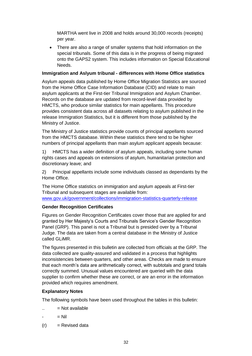MARTHA went live in 2008 and holds around 30,000 records (receipts) per year.

• There are also a range of smaller systems that hold information on the special tribunals. Some of this data is in the progress of being migrated onto the GAPS2 system. This includes information on Special Educational Needs.

### **Immigration and Aslyum tribunal - differences with Home Office statistics**

Asylum appeals data published by Home Office Migration Statistics are sourced from the Home Office Case Information Database (CID) and relate to main asylum applicants at the First-tier Tribunal Immigration and Asylum Chamber. Records on the database are updated from record-level data provided by HMCTS, who produce similar statistics for main appellants. This procedure provides consistent data across all datasets relating to asylum published in the release Immigration Statistics, but it is different from those published by the Ministry of Justice.

The Ministry of Justice statistics provide counts of principal appellants sourced from the HMCTS database. Within these statistics there tend to be higher numbers of principal appellants than main asylum applicant appeals because:

1) HMCTS has a wider definition of asylum appeals, including some human rights cases and appeals on extensions of asylum, humanitarian protection and discretionary leave; and

2) Principal appellants include some individuals classed as dependants by the Home Office.

The Home Office statistics on immigration and asylum appeals at First-tier Tribunal and subsequent stages are available from: [www.gov.uk/government/collections/immigration-statistics-quarterly-release](https://www.gov.uk/government/collections/immigration-statistics-quarterly-release)

## **Gender Recognition Certificates**

Figures on Gender Recognition Certificates cover those that are applied for and granted by Her Majesty's Courts and Tribunals Service's Gender Recognition Panel (GRP). This panel is not a Tribunal but is presided over by a Tribunal Judge. The data are taken from a central database in the Ministry of Justice called GLiMR.

The figures presented in this bulletin are collected from officials at the GRP. The data collected are quality-assured and validated in a process that highlights inconsistencies between quarters, and other areas. Checks are made to ensure that each month's data are arithmetically correct, with subtotals and grand totals correctly summed. Unusual values encountered are queried with the data supplier to confirm whether these are correct, or are an error in the information provided which requires amendment.

## **Explanatory Notes**

The following symbols have been used throughout the tables in this bulletin:

- $\ldots$  = Not available
- $=$  Nil
- $(r)$  = Revised data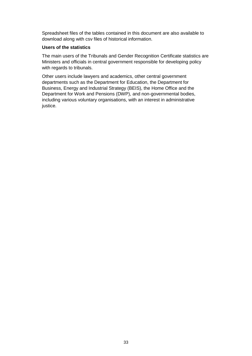Spreadsheet files of the tables contained in this document are also available to download along with csv files of historical information.

#### **Users of the statistics**

The main users of the Tribunals and Gender Recognition Certificate statistics are Ministers and officials in central government responsible for developing policy with regards to tribunals.

Other users include lawyers and academics, other central government departments such as the Department for Education, the Department for Business, Energy and Industrial Strategy (BEIS), the Home Office and the Department for Work and Pensions (DWP), and non-governmental bodies, including various voluntary organisations, with an interest in administrative justice.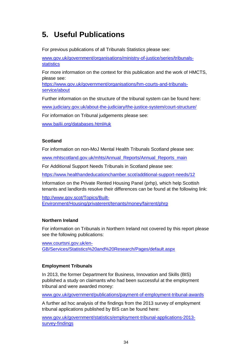## <span id="page-33-0"></span>**5. Useful Publications**

For previous publications of all Tribunals Statistics please see:

[www.gov.uk/government/organisations/ministry-of-justice/series/tribunals](https://www.gov.uk/government/organisations/ministry-of-justice/series/tribunals-statistics)**[statistics](https://www.gov.uk/government/organisations/ministry-of-justice/series/tribunals-statistics)** 

For more information on the context for this publication and the work of HMCTS, please see:

[https://www.gov.uk/government/organisations/hm-courts-and-tribunals](https://www.gov.uk/government/organisations/hm-courts-and-tribunals-service/about)[service/about](https://www.gov.uk/government/organisations/hm-courts-and-tribunals-service/about)

Further information on the structure of the tribunal system can be found here:

[www.judiciary.gov.uk/about-the-judiciary/the-justice-system/court-structure/](http://www.judiciary.gov.uk/about-the-judiciary/the-justice-system/court-structure/)

For information on Tribunal judgements please see:

[www.bailii.org/databases.html#uk](http://www.bailii.org/databases.html#uk)

### **Scotland**

For information on non-MoJ Mental Health Tribunals Scotland please see:

[www.mhtscotland.gov.uk/mhts/Annual\\_Reports/Annual\\_Reports\\_main](http://www.mhtscotland.gov.uk/mhts/Annual_Reports/Annual_Reports_main)

For Additional Support Needs Tribunals in Scotland please see:

<https://www.healthandeducationchamber.scot/additional-support-needs/12>

Information on the Private Rented Housing Panel (prhp), which help Scottish tenants and landlords resolve their differences can be found at the following link:

[http://www.gov.scot/Topics/Built-](http://www.gov.scot/Topics/Built-Environment/Housing/privaterent/tenants/money/fairrent/phrp)[Environment/Housing/privaterent/tenants/money/fairrent/phrp](http://www.gov.scot/Topics/Built-Environment/Housing/privaterent/tenants/money/fairrent/phrp)

## **Northern Ireland**

For information on Tribunals in Northern Ireland not covered by this report please see the following publications:

[www.courtsni.gov.uk/en-](http://www.courtsni.gov.uk/en-GB/Services/Statistics%20and%20Research/Pages/default.aspx)[GB/Services/Statistics%20and%20Research/Pages/default.aspx](http://www.courtsni.gov.uk/en-GB/Services/Statistics%20and%20Research/Pages/default.aspx)

## **Employment Tribunals**

In 2013, the former Department for Business, Innovation and Skills (BIS) published a study on claimants who had been successful at the employment tribunal and were awarded money:

[www.gov.uk/government/publications/payment-of-employment-tribunal-awards](http://www.gov.uk/government/publications/payment-of-employment-tribunal-awards)

A further ad hoc analysis of the findings from the 2013 survey of employment tribunal applications published by BIS can be found here:

[www.gov.uk/government/statistics/employment-tribunal-applications-2013](https://www.gov.uk/government/statistics/employment-tribunal-applications-2013-survey-findings) [survey-findings](https://www.gov.uk/government/statistics/employment-tribunal-applications-2013-survey-findings)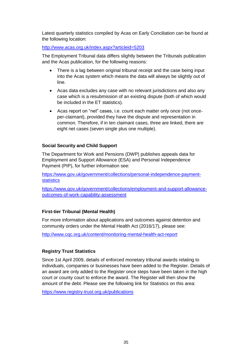Latest quarterly statistics compiled by Acas on Early Conciliation can be found at the following location:

<http://www.acas.org.uk/index.aspx?articleid=5203>

The Employment Tribunal data differs slightly between the Tribunals publication and the Acas publication, for the following reasons:

- There is a lag between original tribunal receipt and the case being input into the Acas system which means the data will always be slightly out of line.
- Acas data excludes any case with no relevant jurisdictions and also any case which is a resubmission of an existing dispute (both of which would be included in the ET statistics).
- Acas report on "net" cases, i.e. count each matter only once (not onceper-claimant), provided they have the dispute and representation in common. Therefore, if in ten claimant cases, three are linked, there are eight net cases (seven single plus one multiple).

## **Social Security and Child Support**

The Department for Work and Pensions (DWP) publishes appeals data for Employment and Support Allowance (ESA) and Personal Independence Payment (PIP), for further information see:

[https://www.gov.uk/government/collections/personal-independence-payment](https://www.gov.uk/government/collections/personal-independence-payment-statistics)**[statistics](https://www.gov.uk/government/collections/personal-independence-payment-statistics)** 

[https://www.gov.uk/government/collections/employment-and-support-allowance](https://www.gov.uk/government/collections/employment-and-support-allowance-outcomes-of-work-capability-assessment)[outcomes-of-work-capability-assessment](https://www.gov.uk/government/collections/employment-and-support-allowance-outcomes-of-work-capability-assessment)

## **First-tier Tribunal (Mental Health)**

For more information about applications and outcomes against detention and community orders under the Mental Health Act (2016/17), please see:

<http://www.cqc.org.uk/content/monitoring-mental-health-act-report>

## **Registry Trust Statistics**

Since 1st April 2009, details of enforced monetary tribunal awards relating to individuals, companies or businesses have been added to the Register. Details of an award are only added to the Register once steps have been taken in the high court or county court to enforce the award. The Register will then show the amount of the debt. Please see the following link for Statistics on this area:

<https://www.registry-trust.org.uk/publications>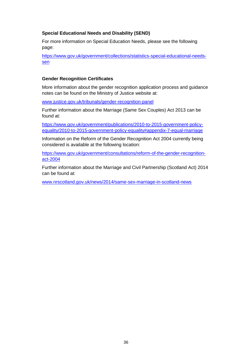### **Special Educational Needs and Disability (SEND)**

For more information on Special Education Needs, please see the following page:

[https://www.gov.uk/government/collections/statistics-special-educational-needs](https://www.gov.uk/government/collections/statistics-special-educational-needs-sen)[sen](https://www.gov.uk/government/collections/statistics-special-educational-needs-sen)

### **Gender Recognition Certificates**

More information about the gender recognition application process and guidance notes can be found on the Ministry of Justice website at:

[www.justice.gov.uk/tribunals/gender-recognition-panel](http://www.justice.gov.uk/tribunals/gender-recognition-panel)

Further information about the Marriage (Same Sex Couples) Act 2013 can be found at:

[https://www.gov.uk/government/publications/2010-to-2015-government-policy](https://www.gov.uk/government/publications/2010-to-2015-government-policy-equality/2010-to-2015-government-policy-equality#appendix-7-equal-marriage)[equality/2010-to-2015-government-policy-equality#appendix-7-equal-marriage](https://www.gov.uk/government/publications/2010-to-2015-government-policy-equality/2010-to-2015-government-policy-equality#appendix-7-equal-marriage)

Information on the Reform of the Gender Recognition Act 2004 currently being considered is available at the following location:

[https://www.gov.uk/government/consultations/reform-of-the-gender-recognition](https://www.gov.uk/government/consultations/reform-of-the-gender-recognition-act-2004)[act-2004](https://www.gov.uk/government/consultations/reform-of-the-gender-recognition-act-2004)

Further information about the Marriage and Civil Partnership (Scotland Act) 2014 can be found at:

[www.nrscotland.gov.uk/news/2014/same-sex-marriage-in-scotland-news](https://www.nrscotland.gov.uk/news/2014/same-sex-marriage-in-scotland-news)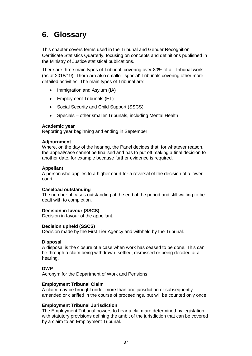## <span id="page-36-0"></span>**6. Glossary**

This chapter covers terms used in the Tribunal and Gender Recognition Certificate Statistics Quarterly, focusing on concepts and definitions published in the Ministry of Justice statistical publications.

There are three main types of Tribunal, covering over 80% of all Tribunal work (as at 2018/19). There are also smaller 'special' Tribunals covering other more detailed activities. The main types of Tribunal are:

- Immigration and Asylum (IA)
- Employment Tribunals (ET)
- Social Security and Child Support (SSCS)
- Specials other smaller Tribunals, including Mental Health

#### **Academic year**

Reporting year beginning and ending in September

#### **Adjournment**

Where, on the day of the hearing, the Panel decides that, for whatever reason, the appeal/case cannot be finalised and has to put off making a final decision to another date, for example because further evidence is required.

#### **Appellant**

A person who applies to a higher court for a reversal of the decision of a lower court.

#### **Caseload outstanding**

The number of cases outstanding at the end of the period and still waiting to be dealt with to completion.

#### **Decision in favour (SSCS)**

Decision in favour of the appellant.

#### **Decision upheld (SSCS)**

Decision made by the First Tier Agency and withheld by the Tribunal.

#### **Disposal**

A disposal is the closure of a case when work has ceased to be done. This can be through a claim being withdrawn, settled, dismissed or being decided at a hearing.

#### **DWP**

Acronym for the Department of Work and Pensions

#### **Employment Tribunal Claim**

A claim may be brought under more than one jurisdiction or subsequently amended or clarified in the course of proceedings, but will be counted only once.

#### **Employment Tribunal Jurisdiction**

The Employment Tribunal powers to hear a claim are determined by legislation, with statutory provisions defining the ambit of the jurisdiction that can be covered by a claim to an Employment Tribunal.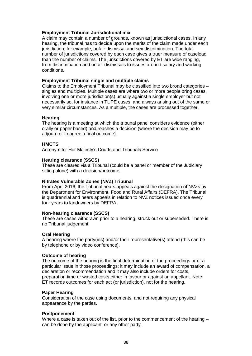#### **Employment Tribunal Jurisdictional mix**

A claim may contain a number of grounds, known as jurisdictional cases. In any hearing, the tribunal has to decide upon the merits of the claim made under each jurisdiction; for example, unfair dismissal and sex discrimination. The total number of jurisdictions covered by each case gives a truer measure of caseload than the number of claims. The jurisdictions covered by ET are wide ranging, from discrimination and unfair dismissals to issues around salary and working conditions.

#### **Employment Tribunal single and multiple claims**

Claims to the Employment Tribunal may be classified into two broad categories – singles and multiples. Multiple cases are where two or more people bring cases, involving one or more jurisdiction(s) usually against a single employer but not necessarily so, for instance in TUPE cases, and always arising out of the same or very similar circumstances. As a multiple, the cases are processed together.

#### **Hearing**

The hearing is a meeting at which the tribunal panel considers evidence (either orally or paper based) and reaches a decision (where the decision may be to adjourn or to agree a final outcome).

#### **HMCTS**

Acronym for Her Majesty's Courts and Tribunals Service

#### **Hearing clearance (SSCS)**

These are cleared via a Tribunal (could be a panel or member of the Judiciary sitting alone) with a decision/outcome.

#### **Nitrates Vulnerable Zones (NVZ) Tribunal**

From April 2016, the Tribunal hears appeals against the designation of NVZs by the Department for Environment, Food and Rural Affairs (DEFRA). The Tribunal is quadrennial and hears appeals in relation to NVZ notices issued once every four years to landowners by DEFRA.

#### **Non-hearing clearance (SSCS)**

These are cases withdrawn prior to a hearing, struck out or superseded. There is no Tribunal judgement.

#### **Oral Hearing**

A hearing where the party(ies) and/or their representative(s) attend (this can be by telephone or by video conference).

#### **Outcome of hearing**

The outcome of the hearing is the final determination of the proceedings or of a particular issue in those proceedings; it may include an award of compensation, a declaration or recommendation and it may also include orders for costs, preparation time or wasted costs either in favour or against an appellant. Note: ET records outcomes for each act (or jurisdiction), not for the hearing.

#### **Paper Hearing**

Consideration of the case using documents, and not requiring any physical appearance by the parties.

#### **Postponement**

Where a case is taken out of the list, prior to the commencement of the hearing – can be done by the applicant, or any other party.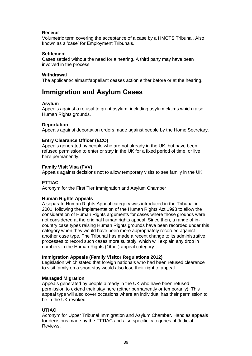#### **Receipt**

Volumetric term covering the acceptance of a case by a HMCTS Tribunal. Also known as a 'case' for Employment Tribunals.

#### **Settlement**

Cases settled without the need for a hearing. A third party may have been involved in the process.

#### **Withdrawal**

The applicant/claimant/appellant ceases action either before or at the hearing.

## <span id="page-38-0"></span>**Immigration and Asylum Cases**

#### **Asylum**

Appeals against a refusal to grant asylum, including asylum claims which raise Human Rights grounds.

#### **Deportation**

Appeals against deportation orders made against people by the Home Secretary.

#### **Entry Clearance Officer (ECO)**

Appeals generated by people who are not already in the UK, but have been refused permission to enter or stay in the UK for a fixed period of time, or live here permanently.

#### **Family Visit Visa (FVV)**

Appeals against decisions not to allow temporary visits to see family in the UK.

#### **FTTIAC**

Acronym for the First Tier Immigration and Asylum Chamber

#### **Human Rights Appeals**

A separate Human Rights Appeal category was introduced in the Tribunal in 2001, following the implementation of the Human Rights Act 1998 to allow the consideration of Human Rights arguments for cases where those grounds were not considered at the original human rights appeal. Since then, a range of incountry case types raising Human Rights grounds have been recorded under this category when they would have been more appropriately recorded against another case type. The Tribunal has made a recent change to its administrative processes to record such cases more suitably, which will explain any drop in numbers in the Human Rights (Other) appeal category.

#### **Immigration Appeals (Family Visitor Regulations 2012)**

Legislation which stated that foreign nationals who had been refused clearance to visit family on a short stay would also lose their right to appeal.

#### **Managed Migration**

Appeals generated by people already in the UK who have been refused permission to extend their stay here (either permanently or temporarily). This appeal type will also cover occasions where an individual has their permission to be in the UK revoked.

#### **UTIAC**

Acronym for Upper Tribunal Immigration and Asylum Chamber. Handles appeals for decisions made by the FTTIAC and also specific categories of Judicial Reviews.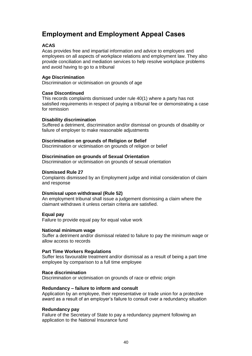## <span id="page-39-0"></span>**Employment and Employment Appeal Cases**

#### **ACAS**

Acas provides free and impartial information and advice to employers and employees on all aspects of workplace relations and employment law. They also provide conciliation and mediation services to help resolve workplace problems and avoid having to go to a tribunal

#### **Age Discrimination**

Discrimination or victimisation on grounds of age

#### **Case Discontinued**

This records complaints dismissed under rule 40(1) where a party has not satisfied requirements in respect of paying a tribunal fee or demonstrating a case for remission

#### **Disability discrimination**

Suffered a detriment, discrimination and/or dismissal on grounds of disability or failure of employer to make reasonable adjustments

#### **Discrimination on grounds of Religion or Belief**

Discrimination or victimisation on grounds of religion or belief

#### **Discrimination on grounds of Sexual Orientation**

Discrimination or victimisation on grounds of sexual orientation

#### **Dismissed Rule 27**

Complaints dismissed by an Employment judge and initial consideration of claim and response

#### **Dismissal upon withdrawal (Rule 52)**

An employment tribunal shall issue a judgement dismissing a claim where the claimant withdraws it unless certain criteria are satisfied.

#### **Equal pay**

Failure to provide equal pay for equal value work

#### **National minimum wage**

Suffer a detriment and/or dismissal related to failure to pay the minimum wage or allow access to records

#### **Part Time Workers Regulations**

Suffer less favourable treatment and/or dismissal as a result of being a part time employee by comparison to a full time employee

#### **Race discrimination**

Discrimination or victimisation on grounds of race or ethnic origin

#### **Redundancy – failure to inform and consult**

Application by an employee, their representative or trade union for a protective award as a result of an employer's failure to consult over a redundancy situation

#### **Redundancy pay**

Failure of the Secretary of State to pay a redundancy payment following an application to the National Insurance fund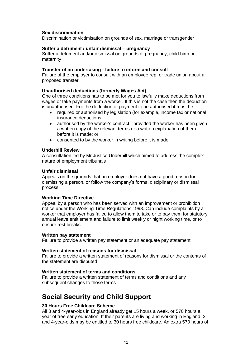#### **Sex discrimination**

Discrimination or victimisation on grounds of sex, marriage or transgender

#### **Suffer a detriment / unfair dismissal – pregnancy**

Suffer a detriment and/or dismissal on grounds of pregnancy, child birth or maternity

#### **Transfer of an undertaking - failure to inform and consult**

Failure of the employer to consult with an employee rep. or trade union about a proposed transfer

#### **Unauthorised deductions (formerly Wages Act)**

One of three conditions has to be met for you to lawfully make deductions from wages or take payments from a worker. If this is not the case then the deduction is unauthorised. For the deduction or payment to be authorised it must be

- required or authorised by legislation (for example, income tax or national insurance deductions;
- authorised by the worker's contract provided the worker has been given a written copy of the relevant terms or a written explanation of them before it is made; or
- consented to by the worker in writing before it is made

#### **Underhill Review**

A consultation led by Mr Justice Underhill which aimed to address the complex nature of employment tribunals

#### **Unfair dismissal**

Appeals on the grounds that an employer does not have a good reason for dismissing a person, or follow the company's formal disciplinary or dismissal process.

#### **Working Time Directive**

Appeal by a person who has been served with an improvement or prohibition notice under the Working Time Regulations 1998. Can include complaints by a worker that employer has failed to allow them to take or to pay them for statutory annual leave entitlement and failure to limit weekly or night working time, or to ensure rest breaks.

#### **Written pay statement**

Failure to provide a written pay statement or an adequate pay statement

#### **Written statement of reasons for dismissal**

Failure to provide a written statement of reasons for dismissal or the contents of the statement are disputed

#### **Written statement of terms and conditions**

Failure to provide a written statement of terms and conditions and any subsequent changes to those terms

## <span id="page-40-0"></span>**Social Security and Child Support**

#### **30 Hours Free Childcare Scheme**

All 3 and 4-year-olds in England already get 15 hours a week, or 570 hours a year of free early education. If their parents are living and working in England, 3 and 4-year-olds may be entitled to 30 hours free childcare. An extra 570 hours of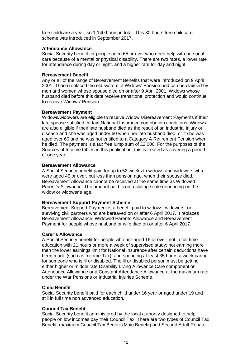free childcare a year, so 1,140 hours in total. This 30 hours free childcare scheme was introduced in September 2017.

#### **Attendance Allowance**

Social Security benefit for people aged 65 or over who need help with personal care because of a mental or physical disability. There are two rates, a lower rate for attendance during day or night, and a higher rate for day and night.

#### **Bereavement Benefit**

Any or all of the range of Bereavement Benefits that were introduced on 9 April 2001. These replaced the old system of Widows' Pension and can be claimed by men and women whose spouse died on or after 9 April 2001. Widows whose husband died before this date receive transitional protection and would continue to receive Widows' Pension.

#### **Bereavement Payment**

Widows/widowers are eligible to receive Widow's/Bereavement Payments if their late spouse satisfied certain National Insurance contribution conditions. Widows are also eligible if their late husband died as the result of an industrial injury or disease and she was aged under 60 when her late husband died; or if she was aged over 60 and he was not entitled to a Category A Retirement Pension when he died. The payment is a tax free lump sum of £2,000. For the purposes of the Sources of Income tables in this publication, this is treated as covering a period of one year

#### **Bereavement Allowance**

A Social Security benefit paid for up to 52 weeks to widows and widowers who were aged 45 or over, but less than pension age, when their spouse died. Bereavement Allowance cannot be received at the same time as Widowed Parent's Allowance. The amount paid is on a sliding scale depending on the widow or widower's age.

#### **Bereavement Support Payment Scheme**

Bereavement Support Payment is a benefit paid to widows, widowers, or surviving civil partners who are bereaved on or after 6 April 2017. It replaces Bereavement Allowance, Widowed Parents Allowance and Bereavement Payment for people whose husband or wife died on or after 6 April 2017.

#### **Carer's Allowance**

A Social Security benefit for people who are aged 16 or over; not in full-time education with 21 hours or more a week of supervised study; not earning more than the lower earnings limit for National Insurance after certain deductions have been made (such as Income Tax); and spending at least 35 hours a week caring for someone who is ill or disabled. The ill or disabled person must be getting either higher or middle rate Disability Living Allowance Care component or Attendance Allowance or a Constant Attendance Allowance at the maximum rate under the War Pensions or Industrial Injuries Scheme.

#### **Child Benefit**

Social Security benefit paid for each child under 16 year or aged under 19 and still in full time non advanced education.

#### **Council Tax Benefit**

Social Security benefit administered by the local authority designed to help people on low incomes pay their Council Tax. There are two types of Council Tax Benefit, maximum Council Tax Benefit (Main Benefit) and Second Adult Rebate.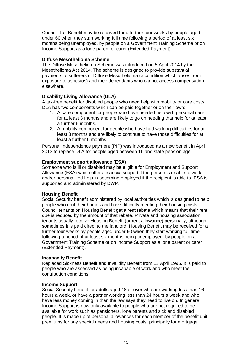Council Tax Benefit may be received for a further four weeks by people aged under 60 when they start working full time following a period of at least six months being unemployed, by people on a Government Training Scheme or on Income Support as a lone parent or carer (Extended Payment).

#### **Diffuse Mesothelioma Scheme**

The Diffuse Mesothelioma Scheme was introduced on 5 April 2014 by the Mesothelioma Act 2014. The scheme is designed to provide substantial payments to sufferers of Diffuse Mesothelioma (a condition which arises from exposure to asbestos) and their dependants who cannot access compensation elsewhere.

#### **Disability Living Allowance (DLA)**

A tax-free benefit for disabled people who need help with mobility or care costs. DLA has two components which can be paid together or on their own:

- 1. A care component for people who have needed help with personal care for at least 3 months and are likely to go on needing that help for at least a further 6 months.
- 2. A mobility component for people who have had walking difficulties for at least 3 months and are likely to continue to have those difficulties for at least a further 6 months.

Personal independence payment (PIP) was introduced as a new benefit in April 2013 to replace DLA for people aged between 16 and state pension age.

#### **Employment support allowance (ESA)**

Someone who is ill or disabled may be eligible for Employment and Support Allowance (ESA) which offers financial support if the person is unable to work and/or personalized help in becoming employed if the recipient is able to. ESA is supported and administered by DWP.

#### **Housing Benefit**

Social Security benefit administered by local authorities which is designed to help people who rent their homes and have difficulty meeting their housing costs. Council tenants on Housing Benefit get a rent rebate which means that their rent due is reduced by the amount of that rebate. Private and housing association tenants usually receive Housing Benefit (or rent allowance) personally, although sometimes it is paid direct to the landlord. Housing Benefit may be received for a further four weeks by people aged under 60 when they start working full time following a period of at least six months being unemployed, by people on a Government Training Scheme or on Income Support as a lone parent or carer (Extended Payment).

#### **Incapacity Benefit**

Replaced Sickness Benefit and Invalidity Benefit from 13 April 1995. It is paid to people who are assessed as being incapable of work and who meet the contribution conditions.

#### **Income Support**

Social Security benefit for adults aged 18 or over who are working less than 16 hours a week, or have a partner working less than 24 hours a week and who have less money coming in than the law says they need to live on. In general, Income Support is now only available to people who are not required to be available for work such as pensioners, lone parents and sick and disabled people. It is made up of personal allowances for each member of the benefit unit, premiums for any special needs and housing costs, principally for mortgage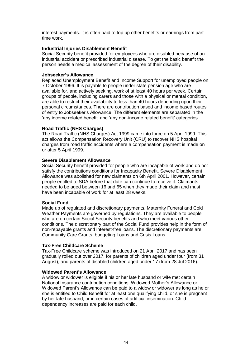interest payments. It is often paid to top up other benefits or earnings from part time work.

#### **Industrial Injuries Disablement Benefit**

Social Security benefit provided for employees who are disabled because of an industrial accident or prescribed industrial disease. To get the basic benefit the person needs a medical assessment of the degree of their disability.

#### **Jobseeker's Allowance**

Replaced Unemployment Benefit and Income Support for unemployed people on 7 October 1996. It is payable to people under state pension age who are available for, and actively seeking, work of at least 40 hours per week. Certain groups of people, including carers and those with a physical or mental condition, are able to restrict their availability to less than 40 hours depending upon their personal circumstances. There are contribution based and income based routes of entry to Jobseeker's Allowance. The different elements are separated in the 'any income related benefit' and 'any non-income related benefit' categories.

#### **Road Traffic (NHS Charges)**

The Road Traffic (NHS Charges) Act 1999 came into force on 5 April 1999. This act allows the Compensation Recovery Unit (CRU) to recover NHS hospital charges from road traffic accidents where a compensation payment is made on or after 5 April 1999.

#### **Severe Disablement Allowance**

Social Security benefit provided for people who are incapable of work and do not satisfy the contributions conditions for Incapacity Benefit. Severe Disablement Allowance was abolished for new claimants on 6th April 2001. However, certain people entitled to SDA before that date can continue to receive it. Claimants needed to be aged between 16 and 65 when they made their claim and must have been incapable of work for at least 28 weeks.

#### **Social Fund**

Made up of regulated and discretionary payments. Maternity Funeral and Cold Weather Payments are governed by regulations. They are available to people who are on certain Social Security benefits and who meet various other conditions. The discretionary part of the Social Fund provides help in the form of non-repayable grants and interest-free loans. The discretionary payments are Community Care Grants, budgeting Loans and Crisis Loans.

#### **Tax-Free Childcare Scheme**

Tax-Free Childcare scheme was introduced on 21 April 2017 and has been gradually rolled out over 2017, for parents of children aged under four (from 31 August), and parents of disabled children aged under 17 (from 28 Jul 2016).

#### **Widowed Parent's Allowance**

A widow or widower is eligible if his or her late husband or wife met certain National Insurance contribution conditions. Widowed Mother's Allowance or Widowed Parent's Allowance can be paid to a widow or widower as long as he or she is entitled to Child Benefit for at least one qualifying child, or she is pregnant by her late husband, or in certain cases of artificial insemination. Child dependency increases are paid for each child.